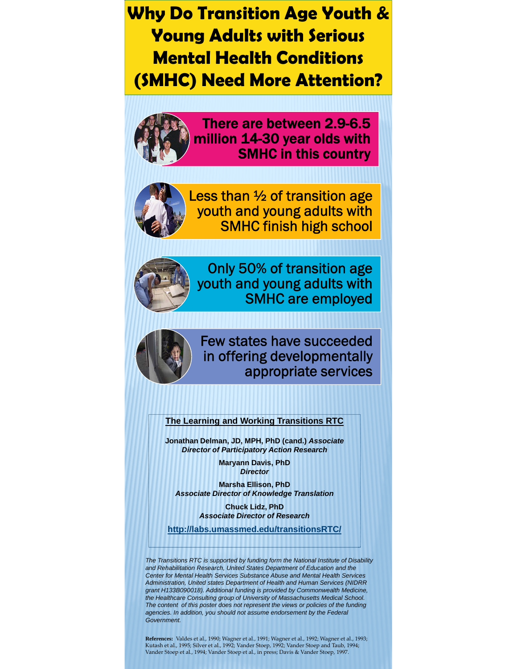#### **Why Do Transition Age Youth & Young Adults with Serious Mental Health Conditions (SMHC) Need More Attention?**



There are between 2.9-6.5 million 14-30 year olds with SMHC in this country



Less than ½ of transition age youth and young adults with SMHC finish high school



Only 50% of transition age youth and young adults with SMHC are employed



#### Few states have succeeded in offering developmentally appropriate services

**The Learning and Working Transitions RTC**

**Jonathan Delman, JD, MPH, PhD (cand.)** *Associate Director of Participatory Action Research*

> **Maryann Davis, PhD**  *Director*

**Marsha Ellison, PhD**  *Associate Director of Knowledge Translation*

> **Chuck Lidz, PhD** *Associate Director of Research*

**http://labs.umassmed.edu/transitionsRTC/**

*The Transitions RTC is supported by funding form the National Institute of Disability and Rehabilitation Research, United States Department of Education and the Center for Mental Health Services Substance Abuse and Mental Health Services Administration, United states Department of Health and Human Services (NIDRR grant H133B090018). Additional funding is provided by Commonwealth Medicine, the Healthcare Consulting group of University of Massachusetts Medical School. The content of this poster does not represent the views or policies of the funding agencies. In addition, you should not assume endorsement by the Federal Government.*

**References:** Valdes et al., 1990; Wagner et al., 1991; Wagner et al., 1992; Wagner et al., 1993;<br>Kutash et al., 1995; Silver et al., 1992; Vander Stoep, 1992; Vander Stoep and Taub, 1994;<br>Vander Stoep et al., 1994; Vander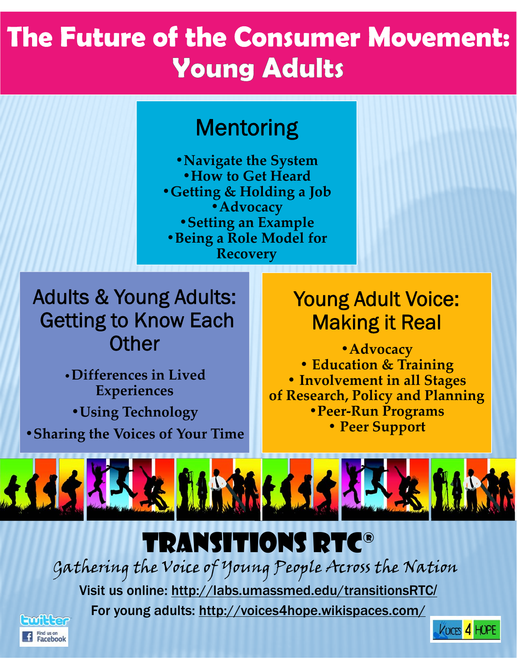# **The Future of the Consumer Movement: Young Adults**

## Mentoring

**•Navigate the System •How to Get Heard •Getting & Holding a Job •Advocacy •Setting an Example •Being a Role Model for Recovery**

### Adults & Young Adults: Getting to Know Each **Other**

•**Differences in Lived Experiences •Using Technology •Sharing the Voices of Your Time**

### Young Adult Voice: Making it Real

**•Advocacy • Education & Training • Involvement in all Stages of Research, Policy and Planning •Peer‐Run Programs • Peer Support**

VOICES 4 HOPE



## Transitions RTC®

Gathering the Voice of Young People Across the Nation

Visit us online: http://labs.umassmed.edu/transitionsRTC/

For young adults: http://voices4hope.wikispaces.com/